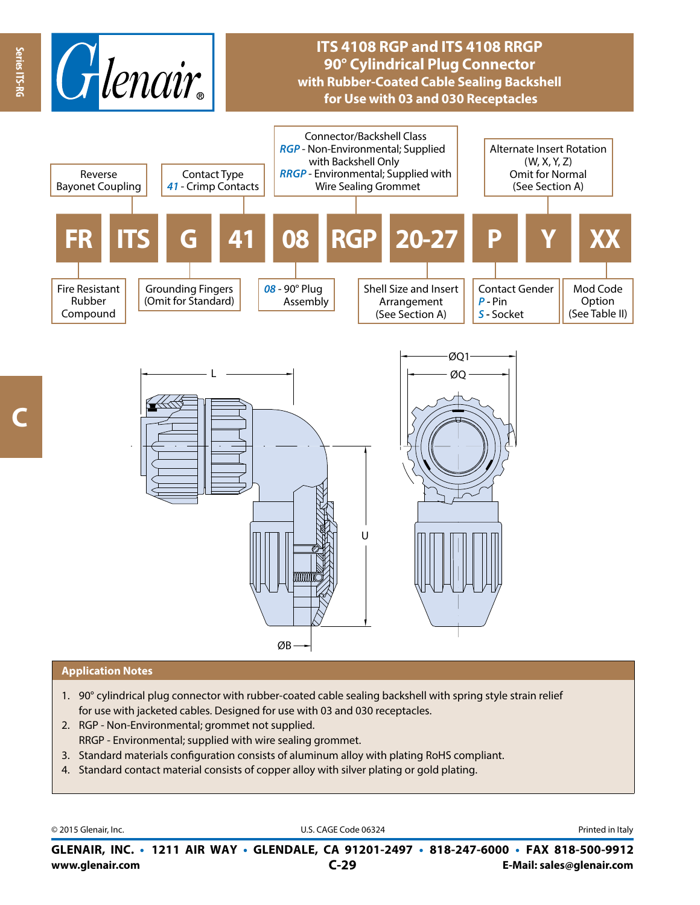

## **ITS 4108 RGP and ITS 4108 RRGP 90° Cylindrical Plug Connector with Rubber-Coated Cable Sealing Backshell for Use with 03 and 030 Receptacles**



## **Application Notes**

- 1. 90° cylindrical plug connector with rubber-coated cable sealing backshell with spring style strain relief for use with jacketed cables. Designed for use with 03 and 030 receptacles.
- 2. RGP Non-Environmental; grommet not supplied. RRGP - Environmental; supplied with wire sealing grommet.
- 3. Standard materials configuration consists of aluminum alloy with plating RoHS compliant.
- 4. Standard contact material consists of copper alloy with silver plating or gold plating.

© 2015 Glenair, Inc. **Discription Construction Construction Construction Construction Construction Construction Construction Construction Construction Construction Construction Construction Construction Construction Constr** 

**www.glenair.com E-Mail: sales@glenair.com GLENAIR, INC. • 1211 AIR WAY • GLENDALE, CA 91201-2497 • 818-247-6000 • FAX 818-500-9912 C-29**